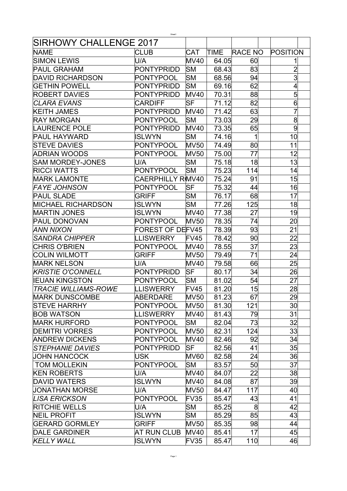|                             | Sheet1                  |             |       |                |                 |
|-----------------------------|-------------------------|-------------|-------|----------------|-----------------|
| SIRHOWY CHALLENGE 2017      |                         |             |       |                |                 |
| <b>NAME</b>                 | <b>CLUB</b>             | <b>CAT</b>  | TIME  | <b>RACE NO</b> | POSITION        |
| <b>SIMON LEWIS</b>          | U/A                     | <b>MV40</b> | 64.05 | 60             |                 |
| <b>PAUL GRAHAM</b>          | <b>PONTYPRIDD</b>       | <b>SM</b>   | 68.43 | 83             | $\overline{2}$  |
| <b>DAVID RICHARDSON</b>     | PONTYPOOL               | lSΜ         | 68.56 | 94             | 3               |
| <b>GETHIN POWELL</b>        | PONTYPRIDD              | <b>SM</b>   | 69.16 | 62             | 4               |
| <b>ROBERT DAVIES</b>        | PONTYPRIDD              | <b>MV40</b> | 70.31 | 88             | 5               |
| <b>CLARA EVANS</b>          | <b>CARDIFF</b>          | <b>SF</b>   | 71.12 | 82             | 6               |
| <b>KEITH JAMES</b>          | <b>PONTYPRIDD</b>       | <b>MV40</b> | 71.42 | 63             | $\overline{7}$  |
| <b>RAY MORGAN</b>           | PONTYPOOL               | <b>SM</b>   | 73.03 | 29             | 8               |
| <b>LAURENCE POLE</b>        | <b>PONTYPRIDD</b>       | <b>MV40</b> | 73.35 | 65             | 9               |
| <b>PAUL HAYWARD</b>         | ISLWYN                  | SΜ          | 74.16 | 1              | 10              |
| <b>STEVE DAVIES</b>         | PONTYPOOL               | <b>MV50</b> | 74.49 | 80             | 11              |
| ADRIAN WOODS                | PONTYPOOL               | <b>MV50</b> | 75.00 | 77             | 12              |
| <b>SAM MORDEY-JONES</b>     | U/A                     | lSΜ         | 75.18 | 18             | 13              |
| <b>RICCI WATTS</b>          | <b>PONTYPOOL</b>        | <b>SM</b>   | 75.23 | 114            | 14              |
| <b>MARK LAMONTE</b>         | <b>CAERPHILLY RMV40</b> |             | 75.24 | 91             | 15              |
| <b>FAYE JOHNSON</b>         | <b>PONTYPOOL</b>        | <b>SF</b>   | 75.32 | 44             | 16              |
| <b>PAUL SLADE</b>           | <b>GRIFF</b>            | lSΜ         | 76.17 | 68             | 17              |
| <b>MICHAEL RICHARDSON</b>   | <b>ISLWYN</b>           | <b>SM</b>   | 77.26 | 125            | 18              |
| <b>MARTIN JONES</b>         | <b>ISLWYN</b>           | <b>MV40</b> | 77.38 | 27             | 19              |
| <b>PAUL DONOVAN</b>         | <b>PONTYPOOL</b>        | <b>MV50</b> | 78.35 | 74             | 20              |
| ANN NIXON                   | <b>FOREST OF DEFV45</b> |             | 78.39 | 93             | 21              |
| <b>SANDRA CHIPPER</b>       | <b>LLISWERRY</b>        | FV45        | 78.42 | 90             | 22              |
| <b>CHRIS O'BRIEN</b>        | PONTYPOOL               | <b>MV40</b> | 78.55 | 37             | 23              |
| <b>COLIN WILMOTT</b>        | <b>GRIFF</b>            | <b>MV50</b> | 79.49 | 71             | 24              |
| <b>MARK NELSON</b>          | U/A                     | <b>MV40</b> | 79.58 | 66             | 25              |
| <b>KRISTIE O'CONNELL</b>    | <b>PONTYPRIDD</b>       | <b>SF</b>   | 80.17 | 34             | 26              |
| <b>IEUAN KINGSTON</b>       | PONTYPOOL               | lSΜ         | 81.02 | 54             | 27              |
| <b>TRACIE WILLIAMS-ROWE</b> | LLISWERRY               | FV45        | 81.20 | 15             | 28              |
| <b>MARK DUNSCOMBE</b>       | ABERDARE                | <b>MV50</b> | 81.23 | 67             | 29              |
| <b>STEVE HARRHY</b>         | <b>PONTYPOOL</b>        | <b>MV50</b> | 81.30 | 121            | 30 <sup>l</sup> |
| <b>BOB WATSON</b>           | LLISWERRY               | <b>MV40</b> | 81.43 | 79             | 31              |
| <b>MARK HURFORD</b>         | PONTYPOOL               | <b>SM</b>   | 82.04 | 73             | 32              |
| <b>DEMITRI VORRES</b>       | PONTYPOOL               | <b>MV50</b> | 82.31 | 124            | 33              |
| <b>ANDREW DICKENS</b>       | PONTYPOOL               | <b>MV40</b> | 82.46 | 92             | 34              |
| <b>STEPHANIE DAVIES</b>     | <b>PONTYPRIDD</b>       | <b>SF</b>   | 82.56 | 41             | 35              |
| <b>JOHN HANCOCK</b>         | <b>USK</b>              | <b>MV60</b> | 82.58 | 24             | 36              |
| <b>TOM MOLLEKIN</b>         | PONTYPOOL               | SM          | 83.57 | 50             | 37              |
| <b>KEN ROBERTS</b>          | U/A                     | <b>MV40</b> | 84.07 | 22             | 38              |
| <b>DAVID WATERS</b>         | <b>ISLWYN</b>           | <b>MV40</b> | 84.08 | 87             | 39              |
| <b>JONATHAN MORSE</b>       | U/A                     | <b>MV50</b> | 84.47 | 117            | 40              |
| <b>LISA ERICKSON</b>        | PONTYPOOL               | FV35        | 85.47 | 43             | 41              |
| <b>RITCHIE WELLS</b>        | U/A                     | <b>SM</b>   | 85.25 | 8              | 42              |
| <b>NEIL PROFIT</b>          | <b>ISLWYN</b>           | SM          | 85.29 | 85             | 43              |
| <b>GERARD GORMLEY</b>       | <b>GRIFF</b>            | <b>MV50</b> | 85.35 | 98             | 44              |
| <b>DALE GARDINER</b>        | AT RUN CLUB             | <b>MV40</b> | 85.41 | 17             | 45              |
| <b>KELLY WALL</b>           | <b>ISLWYN</b>           | FV35        | 85.47 | 110            | 46              |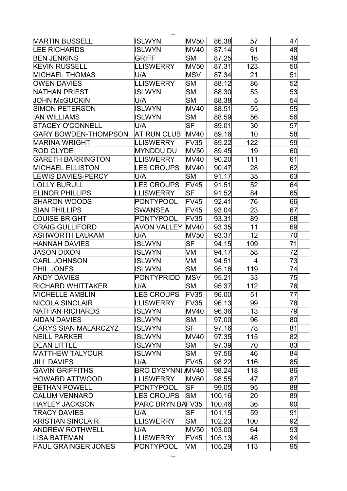| Sheet1                      |                         |             |        |                 |    |  |  |  |
|-----------------------------|-------------------------|-------------|--------|-----------------|----|--|--|--|
| <b>MARTIN BUSSELL</b>       | <b>ISLWYN</b>           | <b>MV50</b> | 86.38  | 57              | 47 |  |  |  |
| <b>LEE RICHARDS</b>         | ISLWYN                  | <b>MV40</b> | 87.14  | 61              | 48 |  |  |  |
| <b>BEN JENKINS</b>          | <b>GRIFF</b>            | SМ          | 87.25  | 16              | 49 |  |  |  |
| <b>KEVIN RUSSELL</b>        | <b>LLISWERRY</b>        | <b>MV50</b> | 87.31  | 123             | 50 |  |  |  |
| <b>MICHAEL THOMAS</b>       | U/A                     | MSV         | 87.34  | 21              | 51 |  |  |  |
| <b>OWEN DAVIES</b>          | <b>LLISWERRY</b>        | lSΜ         | 88.12  | 86              | 52 |  |  |  |
| <b>NATHAN PRIEST</b>        | ISLWYN                  | <b>SM</b>   | 88.30  | 53              | 53 |  |  |  |
| <b>JOHN McGUCKIN</b>        | U/A                     | <b>SM</b>   | 88.38  | 5               | 54 |  |  |  |
| SIMON PETERSON              | <b>ISLWYN</b>           | <b>MV40</b> | 88.51  | 55              | 55 |  |  |  |
| <b>IAN WILLIAMS</b>         | ISLWYN                  | SM          | 88.59  | 56              | 56 |  |  |  |
| <b>STACEY O'CONNELL</b>     | U/A                     | SF          | 89.01  | 30              | 57 |  |  |  |
| <b>GARY BOWDEN-THOMPSON</b> | AT RUN CLUB             | <b>MV40</b> | 89.16  | 10              | 58 |  |  |  |
| MARINA WRIGHT               | LLISWERRY               | FV35        | 89.22  | 122             | 59 |  |  |  |
| <b>ROD CLYDE</b>            | <b>MYNDDU DU</b>        | <b>MV50</b> | 89.45  | 19              | 60 |  |  |  |
| <b>GARETH BARRINGTON</b>    | <b>LLISWERRY</b>        | <b>MV40</b> | 90.20  | 111             | 61 |  |  |  |
| <b>MICHAEL ELLISTON</b>     | <b>LES CROUPS</b>       | <b>MV40</b> | 90.47  | 28              | 62 |  |  |  |
| <b>LEWIS DAVIES-PERCY</b>   | U/A                     | SM          | 91.17  | 35              | 63 |  |  |  |
| <b>LOLLY BURULL</b>         | <b>ES CROUPS</b>        | FV45        | 91.51  | 52              | 64 |  |  |  |
| <b>ELINOR PHILLIPS</b>      | <b>LLISWERRY</b>        | lSF         | 91.52  | 84              | 65 |  |  |  |
| SHARON WOODS                | PONTYPOOL               | <b>FV45</b> | 92.41  | 76              | 66 |  |  |  |
| <b>SIAN PHILLIPS</b>        | <b>SWANSEA</b>          | <b>FV45</b> | 93.04  | 23              | 67 |  |  |  |
| <b>LOUISE BRIGHT</b>        | PONTYPOOL               | FV35        | 93.31  | 89              | 68 |  |  |  |
| <b>CRAIG GULLIFORD</b>      | <b>AVON VALLEY</b>      | <b>MV40</b> | 93.35  | 11              | 69 |  |  |  |
| ASHWORTH LAUKAM             | U/A                     | <b>MV50</b> | 93.37  | 12              | 70 |  |  |  |
| <b>HANNAH DAVIES</b>        | <b>ISLWYN</b>           | lSF         | 94.15  | 109             | 71 |  |  |  |
| <b>JASON DIXON</b>          | <b>ISLWYN</b>           | VM          | 94.17  | 58              | 72 |  |  |  |
| <b>CARL JOHNSON</b>         | ISLWYN                  | VM          | 94.51  | 4               | 73 |  |  |  |
| <b>PHIL JONES</b>           | ISLWYN                  | lSΜ         | 95.16  | 119             | 74 |  |  |  |
| <b>ANDY DAVIES</b>          | PONTYPRIDD              | <b>MSV</b>  | 95.21  | 33              | 75 |  |  |  |
| <b>RICHARD WHITTAKER</b>    | U/A                     | SM          | 95.37  | 112             | 76 |  |  |  |
| <b>MICHELLE AMBLIN</b>      | <b>LES CROUPS</b>       | FV35        | 96.00  | 51              | 77 |  |  |  |
| <b>NICOLA SINCLAIR</b>      | <b>LLISWERRY</b>        | FV35        | 96.13  | 99              | 78 |  |  |  |
| <b>NATHAN RICHARDS</b>      | ISLWYN                  | <b>MV40</b> | 96.36  | 13              | 79 |  |  |  |
| <b>AIDAN DAVIES</b>         | ISLWYN                  | <b>SM</b>   | 97.00  | 96              | 80 |  |  |  |
| <b>CARYS SIAN MALARCZYZ</b> | ISLWYN                  | SF          | 97.16  | 78              | 81 |  |  |  |
| <b>NEILL PARKER</b>         | <b>ISLWYN</b>           | <b>MV40</b> | 97.35  | 115             | 82 |  |  |  |
| <b>DEAN LITTLE</b>          | <b>ISLWYN</b>           | SM          | 97.39  | 70              | 83 |  |  |  |
| <b>MATTHEW TALYOUR</b>      | <b>ISLWYN</b>           | SM          | 97.56  | 46              | 84 |  |  |  |
| <b>JILL DAVIES</b>          | U/A                     | FV45        | 98.22  | 116             | 85 |  |  |  |
| <b>GAVIN GRIFFITHS</b>      | <b>BRO DYSYNNI MV40</b> |             | 98.24  | 118             | 86 |  |  |  |
| <b>HOWARD ATTWOOD</b>       | LLISWERRY               | <b>MV60</b> | 98.55  | 47              | 87 |  |  |  |
|                             |                         | <b>SF</b>   |        | 95              |    |  |  |  |
| <b>BETHAN POWELL</b>        | PONTYPOOL               |             | 99.05  |                 | 88 |  |  |  |
| <b>CALUM VENNARD</b>        | <b>LES CROUPS</b>       | <b>SM</b>   | 100.16 | 20 <sup>°</sup> | 89 |  |  |  |
| <b>HAYLEY JACKSON</b>       | <b>PARC BRYN BAFV35</b> |             | 100.46 | 36              | 90 |  |  |  |
| <b>TRACY DAVIES</b>         | U/A                     | SF          | 101.15 | 59              | 91 |  |  |  |
| <b>KRISTIAN SINCLAIR</b>    | LLISWERRY               | SM          | 102.23 | 100             | 92 |  |  |  |
| <b>ANDREW ROTHWELL</b>      | U/A                     | <b>MV50</b> | 103.00 | 64              | 93 |  |  |  |
| LISA BATEMAN                | <b>LLISWERRY</b>        | <b>FV45</b> | 105.13 | 48              | 94 |  |  |  |
| <b>PAUL GRAINGER JONES</b>  | PONTYPOOL               | VM          | 105.29 | 113             | 95 |  |  |  |